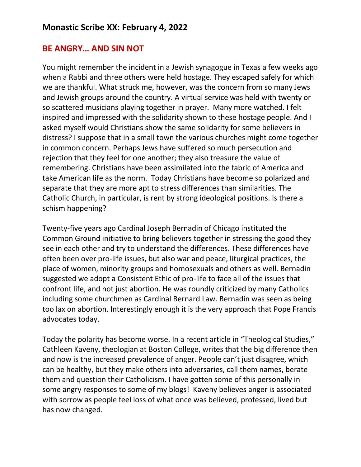## **BE ANGRY… AND SIN NOT**

You might remember the incident in a Jewish synagogue in Texas a few weeks ago when a Rabbi and three others were held hostage. They escaped safely for which we are thankful. What struck me, however, was the concern from so many Jews and Jewish groups around the country. A virtual service was held with twenty or so scattered musicians playing together in prayer. Many more watched. I felt inspired and impressed with the solidarity shown to these hostage people. And I asked myself would Christians show the same solidarity for some believers in distress? I suppose that in a small town the various churches might come together in common concern. Perhaps Jews have suffered so much persecution and rejection that they feel for one another; they also treasure the value of remembering. Christians have been assimilated into the fabric of America and take American life as the norm. Today Christians have become so polarized and separate that they are more apt to stress differences than similarities. The Catholic Church, in particular, is rent by strong ideological positions. Is there a schism happening?

Twenty-five years ago Cardinal Joseph Bernadin of Chicago instituted the Common Ground initiative to bring believers together in stressing the good they see in each other and try to understand the differences. These differences have often been over pro-life issues, but also war and peace, liturgical practices, the place of women, minority groups and homosexuals and others as well. Bernadin suggested we adopt a Consistent Ethic of pro-life to face all of the issues that confront life, and not just abortion. He was roundly criticized by many Catholics including some churchmen as Cardinal Bernard Law. Bernadin was seen as being too lax on abortion. Interestingly enough it is the very approach that Pope Francis advocates today.

Today the polarity has become worse. In a recent article in "Theological Studies," Cathleen Kaveny, theologian at Boston College, writes that the big difference then and now is the increased prevalence of anger. People can't just disagree, which can be healthy, but they make others into adversaries, call them names, berate them and question their Catholicism. I have gotten some of this personally in some angry responses to some of my blogs! Kaveny believes anger is associated with sorrow as people feel loss of what once was believed, professed, lived but has now changed.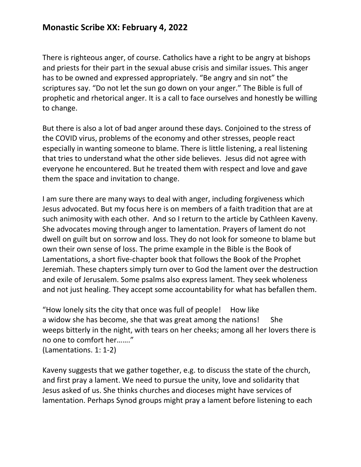## **Monastic Scribe XX: February 4, 2022**

There is righteous anger, of course. Catholics have a right to be angry at bishops and priests for their part in the sexual abuse crisis and similar issues. This anger has to be owned and expressed appropriately. "Be angry and sin not" the scriptures say. "Do not let the sun go down on your anger." The Bible is full of prophetic and rhetorical anger. It is a call to face ourselves and honestly be willing to change.

But there is also a lot of bad anger around these days. Conjoined to the stress of the COVID virus, problems of the economy and other stresses, people react especially in wanting someone to blame. There is little listening, a real listening that tries to understand what the other side believes. Jesus did not agree with everyone he encountered. But he treated them with respect and love and gave them the space and invitation to change.

I am sure there are many ways to deal with anger, including forgiveness which Jesus advocated. But my focus here is on members of a faith tradition that are at such animosity with each other. And so I return to the article by Cathleen Kaveny. She advocates moving through anger to lamentation. Prayers of lament do not dwell on guilt but on sorrow and loss. They do not look for someone to blame but own their own sense of loss. The prime example in the Bible is the Book of Lamentations, a short five-chapter book that follows the Book of the Prophet Jeremiah. These chapters simply turn over to God the lament over the destruction and exile of Jerusalem. Some psalms also express lament. They seek wholeness and not just healing. They accept some accountability for what has befallen them.

"How lonely sits the city that once was full of people! How like a widow she has become, she that was great among the nations! She weeps bitterly in the night, with tears on her cheeks; among all her lovers there is no one to comfort her……." (Lamentations. 1: 1-2)

Kaveny suggests that we gather together, e.g. to discuss the state of the church, and first pray a lament. We need to pursue the unity, love and solidarity that Jesus asked of us. She thinks churches and dioceses might have services of lamentation. Perhaps Synod groups might pray a lament before listening to each